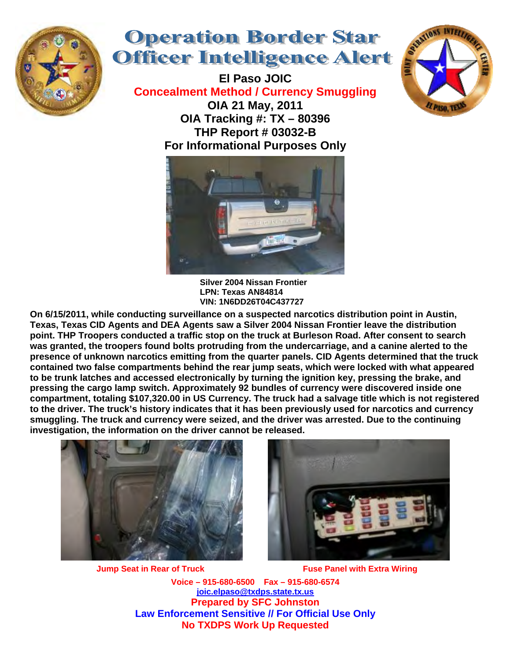

## **Operation Border Star Officer Intelligence Alert**

**El Paso JOIC Concealment Method / Currency Smuggling OIA 21 May, 2011 OIA Tracking #: TX – 80396 THP Report # 03032-B For Informational Purposes Only** 





**Silver 2004 Nissan Frontier LPN: Texas AN84814 VIN: 1N6DD26T04C437727** 

**On 6/15/2011, while conducting surveillance on a suspected narcotics distribution point in Austin, Texas, Texas CID Agents and DEA Agents saw a Silver 2004 Nissan Frontier leave the distribution point. THP Troopers conducted a traffic stop on the truck at Burleson Road. After consent to search was granted, the troopers found bolts protruding from the undercarriage, and a canine alerted to the presence of unknown narcotics emitting from the quarter panels. CID Agents determined that the truck contained two false compartments behind the rear jump seats, which were locked with what appeared to be trunk latches and accessed electronically by turning the ignition key, pressing the brake, and pressing the cargo lamp switch. Approximately 92 bundles of currency were discovered inside one compartment, totaling \$107,320.00 in US Currency. The truck had a salvage title which is not registered to the driver. The truck's history indicates that it has been previously used for narcotics and currency smuggling. The truck and currency were seized, and the driver was arrested. Due to the continuing investigation, the information on the driver cannot be released.** 



**Jump Seat in Rear of Truck Fuse Panel with Extra Wiring** 



**Voice – 915-680-6500 Fax – 915-680-6574 joic.elpaso@txdps.state.tx.us Prepared by SFC Johnston Law Enforcement Sensitive // For Official Use Only No TXDPS Work Up Requested**